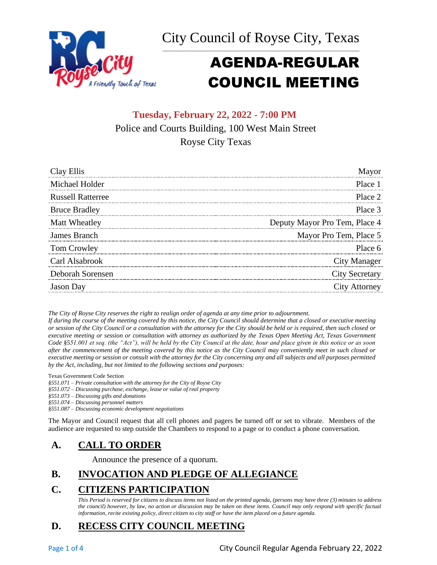



# AGENDA-REGULAR COUNCIL MEETING

# **Tuesday, February 22, 2022 - 7:00 PM** Police and Courts Building, 100 West Main Street Royse City Texas

| Clay Ellis               | Mayor                         |
|--------------------------|-------------------------------|
| Michael Holder           | Place 1                       |
| <b>Russell Ratterree</b> | Place 2                       |
| <b>Bruce Bradley</b>     | Place 3                       |
| Matt Wheatley            | Deputy Mayor Pro Tem, Place 4 |
| James Branch             | Mayor Pro Tem, Place 5        |
| Tom Crowley              | Place 6                       |
| Carl Alsabrook           | City Manager                  |
| Deborah Sorensen         | <b>City Secretary</b>         |
| <b>Jason</b> Day         | City Attorney                 |

*The City of Royse City reserves the right to realign order of agenda at any time prior to adjournment.*

*If during the course of the meeting covered by this notice, the City Council should determine that a closed or executive meeting or session of the City Council or a consultation with the attorney for the City should be held or is required, then such closed or executive meeting or session or consultation with attorney as authorized by the Texas Open Meeting Act, Texas Government Code §551.001 et seq. (the "Act"), will be held by the City Council at the date, hour and place given in this notice or as soon after the commencement of the meeting covered by this notice as the City Council may conveniently meet in such closed or executive meeting or session or consult with the attorney for the City concerning any and all subjects and all purposes permitted by the Act, including, but not limited to the following sections and purposes:*

Texas Government Code Section

*§551.071 – Private consultation with the attorney for the City of Royse City* 

*§551.072 – Discussing purchase, exchange, lease or value of real property* 

*§551.073 – Discussing gifts and donations*

*§551.074 – Discussing personnel matters*

*§551.087 – Discussing economic development negotiations*

The Mayor and Council request that all cell phones and pagers be turned off or set to vibrate. Members of the audience are requested to step outside the Chambers to respond to a page or to conduct a phone conversation.

## **A. CALL TO ORDER**

Announce the presence of a quorum.

# **B. INVOCATION AND PLEDGE OF ALLEGIANCE**

# **C. CITIZENS PARTICIPATION**

*This Period is reserved for citizens to discuss items not listed on the printed agenda, (persons may have three (3) minutes to address the council) however, by law, no action or discussion may be taken on these items. Council may only respond with specific factual information, recite existing policy, direct citizen to city staff or have the item placed on a future agenda.*

# **D. RECESS CITY COUNCIL MEETING**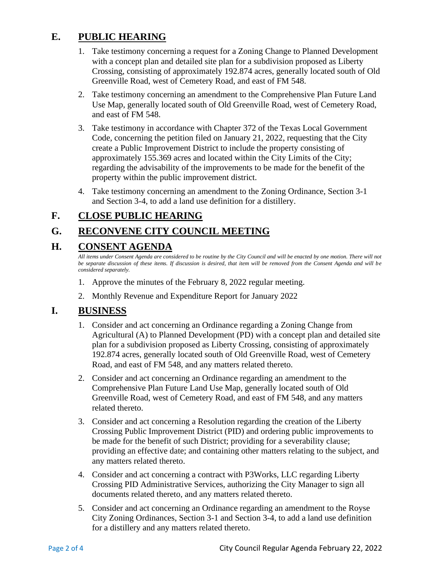# **E. PUBLIC HEARING**

- 1. Take testimony concerning a request for a Zoning Change to Planned Development with a concept plan and detailed site plan for a subdivision proposed as Liberty Crossing, consisting of approximately 192.874 acres, generally located south of Old Greenville Road, west of Cemetery Road, and east of FM 548.
- 2. Take testimony concerning an amendment to the Comprehensive Plan Future Land Use Map, generally located south of Old Greenville Road, west of Cemetery Road, and east of FM 548.
- 3. Take testimony in accordance with Chapter 372 of the Texas Local Government Code, concerning the petition filed on January 21, 2022, requesting that the City create a Public Improvement District to include the property consisting of approximately 155.369 acres and located within the City Limits of the City; regarding the advisability of the improvements to be made for the benefit of the property within the public improvement district.
- 4. Take testimony concerning an amendment to the Zoning Ordinance, Section 3-1 and Section 3-4, to add a land use definition for a distillery.

# **F. CLOSE PUBLIC HEARING**

# **G. RECONVENE CITY COUNCIL MEETING**

## **H. CONSENT AGENDA**

*All items under Consent Agenda are considered to be routine by the City Council and will be enacted by one motion. There will not*  be separate discussion of these items. If discussion is desired, that item will be removed from the Consent Agenda and will be *considered separately.*

- 1. Approve the minutes of the February 8, 2022 regular meeting.
- 2. Monthly Revenue and Expenditure Report for January 2022

#### **I. BUSINESS**

- 1. Consider and act concerning an Ordinance regarding a Zoning Change from Agricultural (A) to Planned Development (PD) with a concept plan and detailed site plan for a subdivision proposed as Liberty Crossing, consisting of approximately 192.874 acres, generally located south of Old Greenville Road, west of Cemetery Road, and east of FM 548, and any matters related thereto.
- 2. Consider and act concerning an Ordinance regarding an amendment to the Comprehensive Plan Future Land Use Map, generally located south of Old Greenville Road, west of Cemetery Road, and east of FM 548, and any matters related thereto.
- 3. Consider and act concerning a Resolution regarding the creation of the Liberty Crossing Public Improvement District (PID) and ordering public improvements to be made for the benefit of such District; providing for a severability clause; providing an effective date; and containing other matters relating to the subject, and any matters related thereto.
- 4. Consider and act concerning a contract with P3Works, LLC regarding Liberty Crossing PID Administrative Services, authorizing the City Manager to sign all documents related thereto, and any matters related thereto.
- 5. Consider and act concerning an Ordinance regarding an amendment to the Royse City Zoning Ordinances, Section 3-1 and Section 3-4, to add a land use definition for a distillery and any matters related thereto.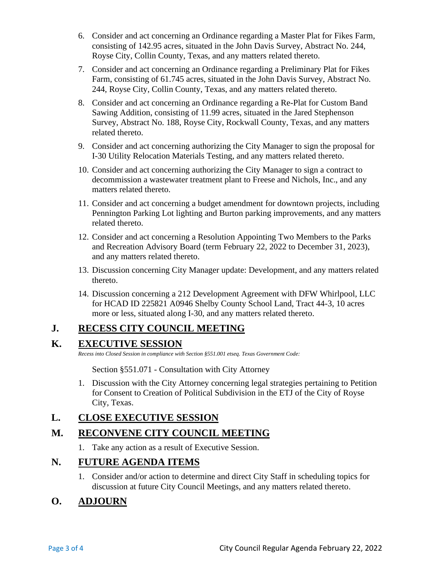- 6. Consider and act concerning an Ordinance regarding a Master Plat for Fikes Farm, consisting of 142.95 acres, situated in the John Davis Survey, Abstract No. 244, Royse City, Collin County, Texas, and any matters related thereto.
- 7. Consider and act concerning an Ordinance regarding a Preliminary Plat for Fikes Farm, consisting of 61.745 acres, situated in the John Davis Survey, Abstract No. 244, Royse City, Collin County, Texas, and any matters related thereto.
- 8. Consider and act concerning an Ordinance regarding a Re-Plat for Custom Band Sawing Addition, consisting of 11.99 acres, situated in the Jared Stephenson Survey, Abstract No. 188, Royse City, Rockwall County, Texas, and any matters related thereto.
- 9. Consider and act concerning authorizing the City Manager to sign the proposal for I-30 Utility Relocation Materials Testing, and any matters related thereto.
- 10. Consider and act concerning authorizing the City Manager to sign a contract to decommission a wastewater treatment plant to Freese and Nichols, Inc., and any matters related thereto.
- 11. Consider and act concerning a budget amendment for downtown projects, including Pennington Parking Lot lighting and Burton parking improvements, and any matters related thereto.
- 12. Consider and act concerning a Resolution Appointing Two Members to the Parks and Recreation Advisory Board (term February 22, 2022 to December 31, 2023), and any matters related thereto.
- 13. Discussion concerning City Manager update: Development, and any matters related thereto.
- 14. Discussion concerning a 212 Development Agreement with DFW Whirlpool, LLC for HCAD ID 225821 A0946 Shelby County School Land, Tract 44-3, 10 acres more or less, situated along I-30, and any matters related thereto.

## **J. RECESS CITY COUNCIL MEETING**

#### **K. EXECUTIVE SESSION**

*Recess into Closed Session in compliance with Section §551.001 etseq. Texas Government Code:*

Section §551.071 - Consultation with City Attorney

1. Discussion with the City Attorney concerning legal strategies pertaining to Petition for Consent to Creation of Political Subdivision in the ETJ of the City of Royse City, Texas.

#### **L. CLOSE EXECUTIVE SESSION**

## **M. RECONVENE CITY COUNCIL MEETING**

1. Take any action as a result of Executive Session.

#### **N. FUTURE AGENDA ITEMS**

1. Consider and/or action to determine and direct City Staff in scheduling topics for discussion at future City Council Meetings, and any matters related thereto.

# **O. ADJOURN**